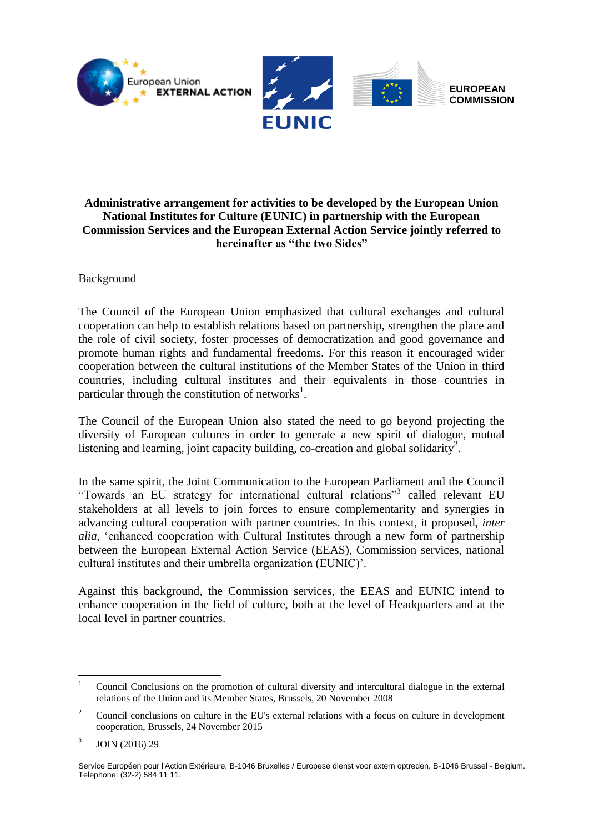

# **Administrative arrangement for activities to be developed by the European Union National Institutes for Culture (EUNIC) in partnership with the European Commission Services and the European External Action Service jointly referred to hereinafter as "the two Sides"**

Background

The Council of the European Union emphasized that cultural exchanges and cultural cooperation can help to establish relations based on partnership, strengthen the place and the role of civil society, foster processes of democratization and good governance and promote human rights and fundamental freedoms. For this reason it encouraged wider cooperation between the cultural institutions of the Member States of the Union in third countries, including cultural institutes and their equivalents in those countries in particular through the constitution of networks<sup>1</sup>.

The Council of the European Union also stated the need to go beyond projecting the diversity of European cultures in order to generate a new spirit of dialogue, mutual listening and learning, joint capacity building, co-creation and global solidarity<sup>2</sup>.

In the same spirit, the Joint Communication to the European Parliament and the Council "Towards an EU strategy for international cultural relations"<sup>3</sup> called relevant EU stakeholders at all levels to join forces to ensure complementarity and synergies in advancing cultural cooperation with partner countries. In this context, it proposed, *inter alia,* 'enhanced cooperation with Cultural Institutes through a new form of partnership between the European External Action Service (EEAS), Commission services, national cultural institutes and their umbrella organization (EUNIC)'.

Against this background, the Commission services, the EEAS and EUNIC intend to enhance cooperation in the field of culture, both at the level of Headquarters and at the local level in partner countries.

 $\overline{a}$ 

<sup>1</sup> Council Conclusions on the promotion of cultural diversity and intercultural dialogue in the external relations of the Union and its Member States, Brussels, 20 November 2008

<sup>&</sup>lt;sup>2</sup> Council conclusions on culture in the EU's external relations with a focus on culture in development cooperation, Brussels, 24 November 2015

<sup>3</sup> JOIN (2016) 29

Service Européen pour l'Action Extérieure, B-1046 Bruxelles / Europese dienst voor extern optreden, B-1046 Brussel - Belgium. Telephone: (32-2) 584 11 11.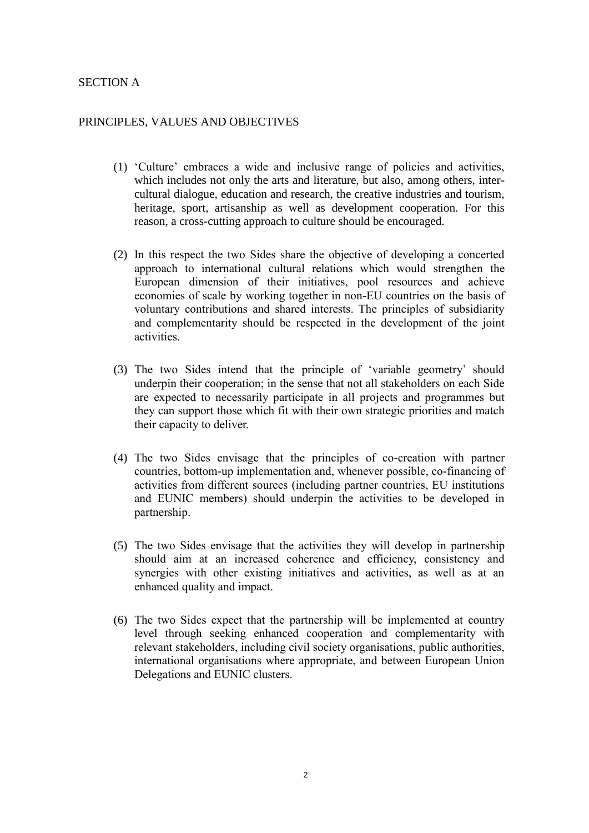### SECTION A

#### PRINCIPLES, VALUES AND OBJECTIVES

- (1) 'Culture' embraces a wide and inclusive range of policies and activities, which includes not only the arts and literature, but also, among others, intercultural dialogue, education and research, the creative industries and tourism, heritage, sport, artisanship as well as development cooperation. For this reason, a cross-cutting approach to culture should be encouraged.
- (2) In this respect the two Sides share the objective of developing a concerted approach to international cultural relations which would strengthen the European dimension of their initiatives, pool resources and achieve economies of scale by working together in non-EU countries on the basis of voluntary contributions and shared interests. The principles of subsidiarity and complementarity should be respected in the development of the joint activities.
- (3) The two Sides intend that the principle of 'variable geometry' should underpin their cooperation; in the sense that not all stakeholders on each Side are expected to necessarily participate in all projects and programmes but they can support those which fit with their own strategic priorities and match their capacity to deliver.
- (4) The two Sides envisage that the principles of co-creation with partner countries, bottom-up implementation and, whenever possible, co-financing of activities from different sources (including partner countries, EU institutions and EUNIC members) should underpin the activities to be developed in partnership.
- (5) The two Sides envisage that the activities they will develop in partnership should aim at an increased coherence and efficiency, consistency and synergies with other existing initiatives and activities, as well as at an enhanced quality and impact.
- (6) The two Sides expect that the partnership will be implemented at country level through seeking enhanced cooperation and complementarity with relevant stakeholders, including civil society organisations, public authorities, international organisations where appropriate, and between European Union Delegations and EUNIC clusters.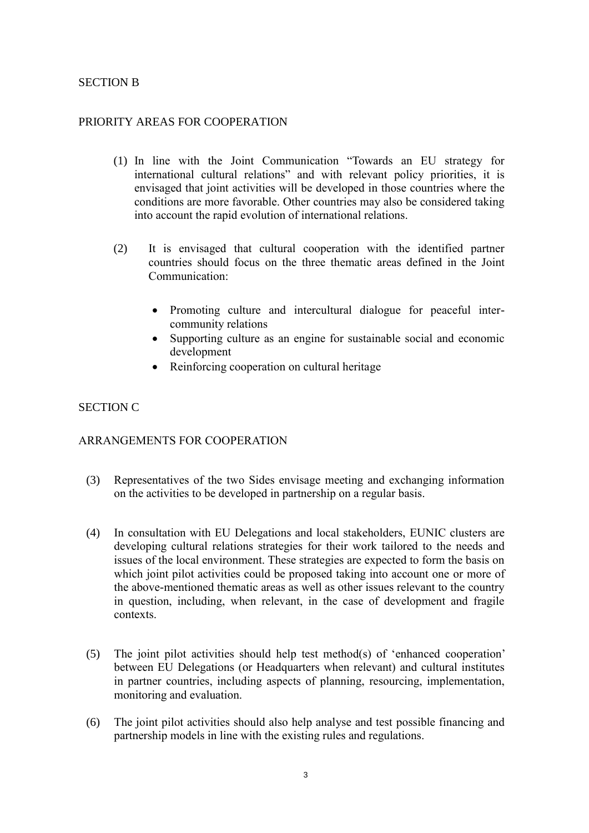### SECTION B

### PRIORITY AREAS FOR COOPERATION

- (1) In line with the Joint Communication "Towards an EU strategy for international cultural relations" and with relevant policy priorities, it is envisaged that joint activities will be developed in those countries where the conditions are more favorable. Other countries may also be considered taking into account the rapid evolution of international relations.
- (2) It is envisaged that cultural cooperation with the identified partner countries should focus on the three thematic areas defined in the Joint Communication:
	- Promoting culture and intercultural dialogue for peaceful intercommunity relations
	- Supporting culture as an engine for sustainable social and economic development
	- Reinforcing cooperation on cultural heritage

# SECTION C

### ARRANGEMENTS FOR COOPERATION

- (3) Representatives of the two Sides envisage meeting and exchanging information on the activities to be developed in partnership on a regular basis.
- (4) In consultation with EU Delegations and local stakeholders, EUNIC clusters are developing cultural relations strategies for their work tailored to the needs and issues of the local environment. These strategies are expected to form the basis on which joint pilot activities could be proposed taking into account one or more of the above-mentioned thematic areas as well as other issues relevant to the country in question, including, when relevant, in the case of development and fragile contexts.
- (5) The joint pilot activities should help test method(s) of 'enhanced cooperation' between EU Delegations (or Headquarters when relevant) and cultural institutes in partner countries, including aspects of planning, resourcing, implementation, monitoring and evaluation.
- (6) The joint pilot activities should also help analyse and test possible financing and partnership models in line with the existing rules and regulations.